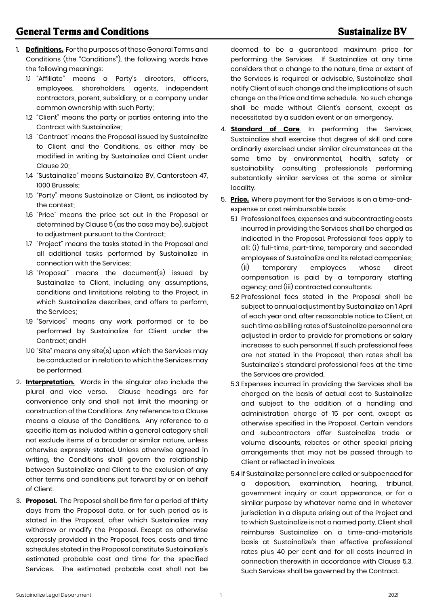- 1. **Definitions.** For the purposes of these General Terms and Conditions (the "Conditions"), the following words have the following meanings:
	- 1.1 "Affiliate" means a Party's directors, officers, employees, shareholders, agents, independent contractors, parent, subsidiary, or a company under common ownership with such Party;
	- 1.2 "Client" means the party or parties entering into the Contract with Sustainalize;
	- 1.3 "Contract" means the Proposal issued by Sustainalize to Client and the Conditions, as either may be modified in writing by Sustainalize and Client under Clause 20;
	- 1.4 "Sustainalize" means Sustainalize BV, Cantersteen 47, 1000 Brussels;
	- 1.5 "Party" means Sustainalize or Client, as indicated by the context;
	- 1.6 "Price" means the price set out in the Proposal or determined by Clause 5 (as the case may be), subject to adjustment pursuant to the Contract;
	- 1.7 "Project" means the tasks stated in the Proposal and all additional tasks performed by Sustainalize in connection with the Services;
	- 1.8 "Proposal" means the document(s) issued by Sustainalize to Client, including any assumptions, conditions and limitations relating to the Project, in which Sustainalize describes, and offers to perform, the Services;
	- 1.9 "Services" means any work performed or to be performed by Sustainalize for Client under the Contract; andH
	- 1.10 "Site" means any site(s) upon which the Services may be conducted or in relation to which the Services may be performed.
- 2. **Interpretation.** Words in the singular also include the plural and vice versa. Clause headings are for convenience only and shall not limit the meaning or construction of the Conditions. Any reference to a Clause means a clause of the Conditions. Any reference to a specific item as included within a general category shall not exclude items of a broader or similar nature, unless otherwise expressly stated. Unless otherwise agreed in writing, the Conditions shall govern the relationship between Sustainalize and Client to the exclusion of any other terms and conditions put forward by or on behalf of Client.
- 3. **Proposal.** The Proposal shall be firm for a period of thirty days from the Proposal date, or for such period as is stated in the Proposal, after which Sustainalize may withdraw or modify the Proposal. Except as otherwise expressly provided in the Proposal, fees, costs and time schedules stated in the Proposal constitute Sustainalize's estimated probable cost and time for the specified Services. The estimated probable cost shall not be

deemed to be a guaranteed maximum price for performing the Services. If Sustainalize at any time considers that a change to the nature, time or extent of the Services is required or advisable, Sustainalize shall notify Client of such change and the implications of such change on the Price and time schedule. No such change shall be made without Client's consent, except as necessitated by a sudden event or an emergency.

- 4. **Standard of Care**. In performing the Services, Sustainalize shall exercise that degree of skill and care ordinarily exercised under similar circumstances at the same time by environmental, health, safety or sustainability consulting professionals performing substantially similar services at the same or similar locality.
- 5. **Price.** Where payment for the Services is on a time-andexpense or cost reimbursable basis:
	- 5.1 Professional fees, expenses and subcontracting costs incurred in providing the Services shall be charged as indicated in the Proposal. Professional fees apply to all: (i) full-time, part-time, temporary and seconded employees of Sustainalize and its related companies; (ii) temporary employees whose direct compensation is paid by a temporary staffing agency; and (iii) contracted consultants.
	- 5.2 Professional fees stated in the Proposal shall be subject to annual adjustment by Sustainalize on 1 April of each year and, after reasonable notice to Client, at such time as billing rates of Sustainalize personnel are adjusted in order to provide for promotions or salary increases to such personnel. If such professional fees are not stated in the Proposal, then rates shall be Sustainalize's standard professional fees at the time the Services are provided.
	- 5.3 Expenses incurred in providing the Services shall be charged on the basis of actual cost to Sustainalize and subject to the addition of a handling and administration charge of 15 per cent, except as otherwise specified in the Proposal. Certain vendors and subcontractors offer Sustainalize trade or volume discounts, rebates or other special pricing arrangements that may not be passed through to Client or reflected in invoices.
	- 5.4 If Sustainalize personnel are called or subpoenaed for a deposition, examination, hearing, tribunal, government inquiry or court appearance, or for a similar purpose by whatever name and in whatever jurisdiction in a dispute arising out of the Project and to which Sustainalize is not a named party, Client shall reimburse Sustainalize on a time-and-materials basis at Sustainalize's then effective professional rates plus 40 per cent and for all costs incurred in connection therewith in accordance with Clause 5.3. Such Services shall be governed by the Contract.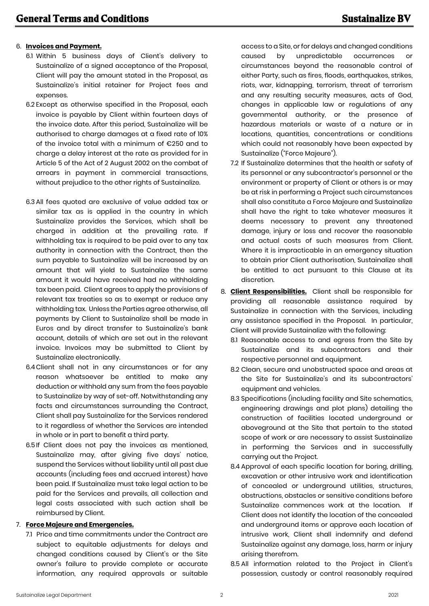## 6. **Invoices and Payment.**

- 6.1 Within 5 business days of Client's delivery to Sustainalize of a signed acceptance of the Proposal, Client will pay the amount stated in the Proposal, as Sustainalize's initial retainer for Project fees and expenses.
- 6.2 Except as otherwise specified in the Proposal, each invoice is payable by Client within fourteen days of the invoice date. After this period, Sustainalize will be authorised to charge damages at a fixed rate of 10% of the invoice total with a minimum of €250 and to charge a delay interest at the rate as provided for in Article 5 of the Act of 2 August 2002 on the combat of arrears in payment in commercial transactions, without prejudice to the other rights of Sustainalize.
- 6.3 All fees quoted are exclusive of value added tax or similar tax as is applied in the country in which Sustainalize provides the Services, which shall be charged in addition at the prevailing rate. If withholding tax is required to be paid over to any tax authority in connection with the Contract, then the sum payable to Sustainalize will be increased by an amount that will yield to Sustainalize the same amount it would have received had no withholding tax been paid. Client agrees to apply the provisions of relevant tax treaties so as to exempt or reduce any withholding tax. Unless the Parties agree otherwise, all payments by Client to Sustainalize shall be made in Euros and by direct transfer to Sustainalize's bank account, details of which are set out in the relevant invoice. Invoices may be submitted to Client by Sustainalize electronically.
- 6.4Client shall not in any circumstances or for any reason whatsoever be entitled to make any deduction or withhold any sum from the fees payable to Sustainalize by way of set-off. Notwithstanding any facts and circumstances surrounding the Contract, Client shall pay Sustainalize for the Services rendered to it regardless of whether the Services are intended in whole or in part to benefit a third party.
- 6.5 If Client does not pay the invoices as mentioned, Sustainalize may, after giving five days' notice, suspend the Services without liability until all past due accounts (including fees and accrued interest) have been paid. If Sustainalize must take legal action to be paid for the Services and prevails, all collection and legal costs associated with such action shall be reimbursed by Client.

## 7. **Force Majeure and Emergencies.**

7.1 Price and time commitments under the Contract are subject to equitable adjustments for delays and changed conditions caused by Client's or the Site owner's failure to provide complete or accurate information, any required approvals or suitable

access to a Site, or for delays and changed conditions caused by unpredictable occurrences or circumstances beyond the reasonable control of either Party, such as fires, floods, earthauakes, strikes, riots, war, kidnapping, terrorism, threat of terrorism and any resulting security measures, acts of God, changes in applicable law or regulations of any governmental authority, or the presence of hazardous materials or waste of a nature or in locations, quantities, concentrations or conditions which could not reasonably have been expected by Sustainalize ("Force Majeure").

- 7.2 If Sustainalize determines that the health or safety of its personnel or any subcontractor's personnel or the environment or property of Client or others is or may be at risk in performing a Project such circumstances shall also constitute a Force Majeure and Sustainalize shall have the right to take whatever measures it deems necessary to prevent any threatened damage, injury or loss and recover the reasonable and actual costs of such measures from Client. Where it is impracticable in an emergency situation to obtain prior Client authorisation, Sustainalize shall be entitled to act pursuant to this Clause at its discretion.
- 8. **Client Responsibilities.** Client shall be responsible for providing all reasonable assistance required by Sustainalize in connection with the Services, including any assistance specified in the Proposal. In particular, Client will provide Sustainalize with the following:
	- 8.1 Reasonable access to and egress from the Site by Sustainalize and its subcontractors and their respective personnel and equipment.
	- 8.2 Clean, secure and unobstructed space and areas at the Site for Sustainalize's and its subcontractors' equipment and vehicles.
	- 8.3 Specifications (including facility and Site schematics, engineering drawings and plot plans) detailing the construction of facilities located underground or aboveground at the Site that pertain to the stated scope of work or are necessary to assist Sustainalize in performing the Services and in successfully carrying out the Project.
	- 8.4 Approval of each specific location for boring, drilling, excavation or other intrusive work and identification of concealed or underground utilities, structures, obstructions, obstacles or sensitive conditions before Sustainalize commences work at the location. If Client does not identify the location of the concealed and underground items or approve each location of intrusive work, Client shall indemnify and defend Sustainalize against any damage, loss, harm or injury arising therefrom.
	- 8.5 All information related to the Project in Client's possession, custody or control reasonably required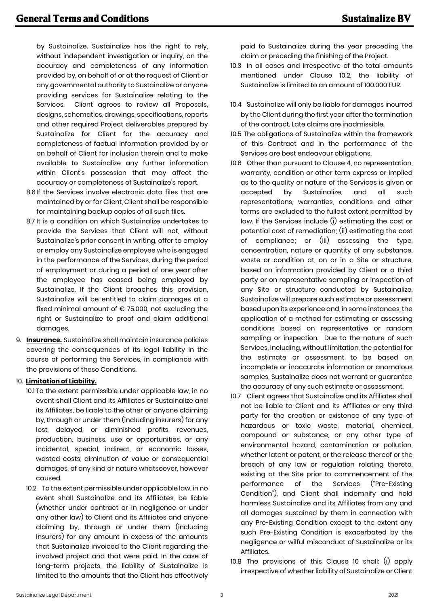by Sustainalize. Sustainalize has the right to rely, without independent investigation or inquiry, on the accuracy and completeness of any information provided by, on behalf of or at the request of Client or any governmental authority to Sustainalize or anyone providing services for Sustainalize relating to the Services. Client agrees to review all Proposals, designs, schematics, drawings, specifications, reports and other required Project deliverables prepared by Sustainalize for Client for the accuracy and completeness of factual information provided by or on behalf of Client for inclusion therein and to make available to Sustainalize any further information within Client's possession that may affect the accuracy or completeness of Sustainalize's report.

- 8.6If the Services involve electronic data files that are maintained by or for Client, Client shall be responsible for maintaining backup copies of all such files.
- 8.7 It is a condition on which Sustainalize undertakes to provide the Services that Client will not, without Sustainalize's prior consent in writing, offer to employ or employ any Sustainalize employee who is engaged in the performance of the Services, during the period of employment or during a period of one year after the employee has ceased being employed by Sustainalize. If the Client breaches this provision, Sustainalize will be entitled to claim damages at a fixed minimal amount of  $\epsilon$  75.000, not excluding the right or Sustainalize to proof and claim additional damages.
- 9. **Insurance.** Sustainalize shall maintain insurance policies covering the consequences of its legal liability in the course of performing the Services, in compliance with the provisions of these Conditions.

## 10. **Limitation of Liability.**

- 10.1 To the extent permissible under applicable law, in no event shall Client and its Affiliates or Sustainalize and its Affiliates, be liable to the other or anyone claiming by, through or under them (including insurers) for any lost, delayed, or diminished profits, revenues, production, business, use or opportunities, or any incidental, special, indirect, or economic losses, wasted costs, diminution of value or consequential damages, of any kind or nature whatsoever, however caused.
- 10.2 To the extent permissible under applicable law, in no event shall Sustainalize and its Affiliates, be liable (whether under contract or in negligence or under any other law) to Client and its Affiliates and anyone claiming by, through or under them (including insurers) for any amount in excess of the amounts that Sustainalize invoiced to the Client regarding the involved project and that were paid. In the case of long-term projects, the liability of Sustainalize is limited to the amounts that the Client has effectively

paid to Sustainalize during the year preceding the claim or preceding the finishing of the Project.

- 10.3 In all cases and irrespective of the total amounts mentioned under Clause 10.2, the liability of Sustainalize is limited to an amount of 100.000 EUR.
- 10.4 Sustainalize will only be liable for damages incurred by the Client during the first year after the termination of the contract. Late claims are inadmissible.
- 10.5 The obligations of Sustainalize within the framework of this Contract and in the performance of the Services are best endeavour obligations.
- 10.6 Other than pursuant to Clause 4, no representation, warranty, condition or other term express or implied as to the quality or nature of the Services is given or accepted by Sustainalize, and all such representations, warranties, conditions and other terms are excluded to the fullest extent permitted by law. If the Services include (i) estimating the cost or potential cost of remediation; (ii) estimating the cost of compliance; or (iii) assessing the type, concentration, nature or quantity of any substance, waste or condition at, on or in a Site or structure, based on information provided by Client or a third party or on representative sampling or inspection of any Site or structure conducted by Sustainalize, Sustainalize will prepare such estimate or assessment based upon its experience and, in some instances, the application of a method for estimating or assessing conditions based on representative or random sampling or inspection. Due to the nature of such Services, including, without limitation, the potential for the estimate or assessment to be based on incomplete or inaccurate information or anomalous samples, Sustainalize does not warrant or guarantee the accuracy of any such estimate or assessment.
- 10.7 Client agrees that Sustainalize and its Affiliates shall not be liable to Client and its Affiliates or any third party for the creation or existence of any type of hazardous or toxic waste, material, chemical, compound or substance, or any other type of environmental hazard, contamination or pollution, whether latent or patent, or the release thereof or the breach of any law or regulation relating thereto, existing at the Site prior to commencement of the performance of the Services ("Pre-Existing Condition"), and Client shall indemnify and hold harmless Sustainalize and its Affiliates from any and all damages sustained by them in connection with any Pre-Existing Condition except to the extent any such Pre-Existing Condition is exacerbated by the negligence or wilful misconduct of Sustainalize or its Affiliates.
- 10.8 The provisions of this Clause 10 shall: (i) apply irrespective of whether liability of Sustainalize or Client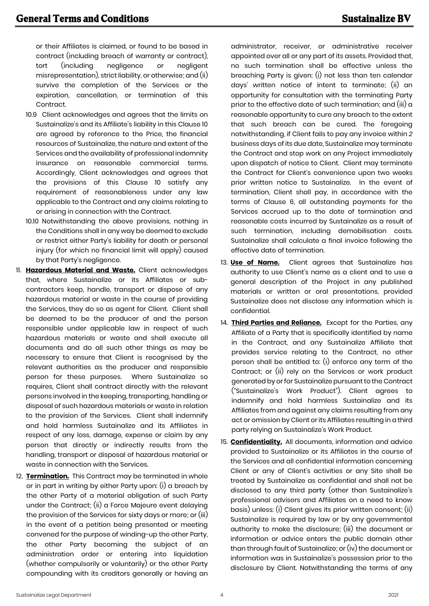or their Affiliates is claimed, or found to be based in contract (including breach of warranty or contract), tort (including negligence or negligent misrepresentation), strict liability, or otherwise; and (ii) survive the completion of the Services or the expiration, cancellation, or termination of this Contract.

- 10.9 Client acknowledges and agrees that the limits on Sustainalize's and its Affiliate's liability in this Clause 10 are agreed by reference to the Price, the financial resources of Sustainalize, the nature and extent of the Services and the availability of professional indemnity insurance on reasonable commercial terms. Accordingly, Client acknowledges and agrees that the provisions of this Clause 10 satisfy any requirement of reasonableness under any law applicable to the Contract and any claims relating to or arising in connection with the Contract.
- 10.10 Notwithstanding the above provisions, nothing in the Conditions shall in any way be deemed to exclude or restrict either Party's liability for death or personal injury (for which no financial limit will apply) caused by that Party's negligence.
- 11. **Hazardous Material and Waste.** Client acknowledges that, where Sustainalize or its Affiliates or subcontractors keep, handle, transport or dispose of any hazardous material or waste in the course of providing the Services, they do so as agent for Client. Client shall be deemed to be the producer of and the person responsible under applicable law in respect of such hazardous materials or waste and shall execute all documents and do all such other things as may be necessary to ensure that Client is recognised by the relevant authorities as the producer and responsible person for these purposes. Where Sustainalize so requires, Client shall contract directly with the relevant persons involved in the keeping, transporting, handling or disposal of such hazardous materials or waste in relation to the provision of the Services. Client shall indemnify and hold harmless Sustainalize and its Affiliates in respect of any loss, damage, expense or claim by any person that directly or indirectly results from the handling, transport or disposal of hazardous material or waste in connection with the Services.
- 12. **Termination.** This Contract may be terminated in whole or in part in writing by either Party upon: (i) a breach by the other Party of a material obligation of such Party under the Contract; (ii) a Force Majeure event delaying the provision of the Services for sixty days or more; or (iii) in the event of a petition being presented or meeting convened for the purpose of winding-up the other Party, the other Party becoming the subject of an administration order or entering into liquidation (whether compulsorily or voluntarily) or the other Party compounding with its creditors generally or having an

administrator, receiver, or administrative receiver appointed over all or any part of its assets. Provided that, no such termination shall be effective unless the breaching Party is given: (i) not less than ten calendar days' written notice of intent to terminate; (ii) an opportunity for consultation with the terminating Party prior to the effective date of such termination; and (iii) a reasonable opportunity to cure any breach to the extent that such breach can be cured. The foregoing notwithstanding, if Client fails to pay any invoice within *2* business days of its due date, Sustainalize may terminate the Contract and stop work on any Project immediately upon dispatch of notice to Client. Client may terminate the Contract for Client's convenience upon two weeks prior written notice to Sustainalize. In the event of termination, Client shall pay, in accordance with the terms of Clause 6, all outstanding payments for the Services accrued up to the date of termination and reasonable costs incurred by Sustainalize as a result of such termination, including demobilisation costs. Sustainalize shall calculate a final invoice following the effective date of termination.

- 13. **Use of Name.** Client agrees that Sustainalize has authority to use Client's name as a client and to use a general description of the Project in any published materials or written or oral presentations, provided Sustainalize does not disclose any information which is confidential.
- 14. **Third Parties and Reliance.** Except for the Parties, any Affiliate of a Party that is specifically identified by name in the Contract, and any Sustainalize Affiliate that provides service relating to the Contract, no other person shall be entitled to: (i) enforce any term of the Contract; or (ii) rely on the Services or work product generated by or for Sustainalize pursuant to the Contract ("Sustainalize's Work Product"). Client agrees to indemnify and hold harmless Sustainalize and its Affiliates from and against any claims resulting from any act or omission by Client or its Affiliates resulting in a third party relying on Sustainalize's Work Product.
- 15. **Confidentiality.** All documents, information and advice provided to Sustainalize or its Affiliates in the course of the Services and all confidential information concerning Client or any of Client's activities or any Site shall be treated by Sustainalize as confidential and shall not be disclosed to any third party (other than Sustainalize's professional advisers and Affiliates on a need to know basis) unless: (i) Client gives its prior written consent; (ii) Sustainalize is required by law or by any governmental authority to make the disclosure; (iii) the document or information or advice enters the public domain other than through fault of Sustainalize; or (iv) the document or information was in Sustainalize's possession prior to the disclosure by Client. Notwithstanding the terms of any